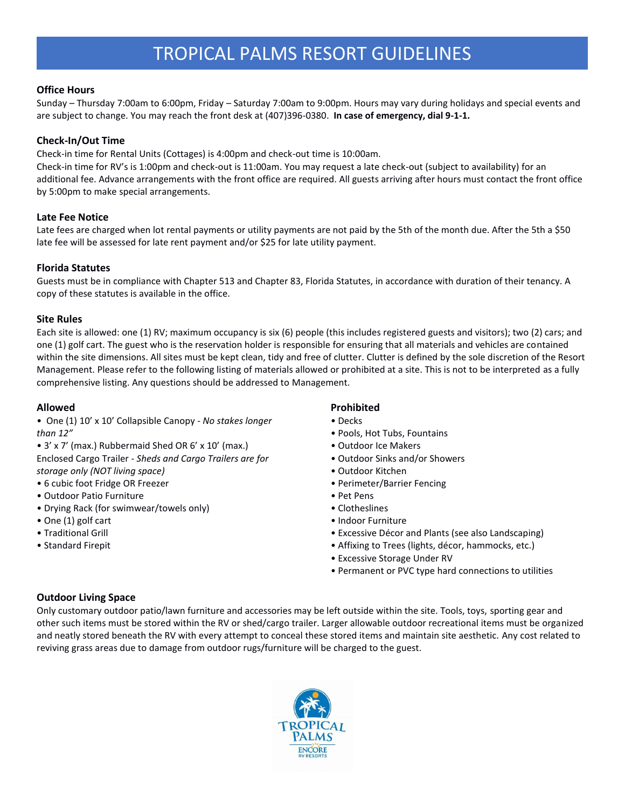# **Office Hours**

Sunday – Thursday 7:00am to 6:00pm, Friday – Saturday 7:00am to 9:00pm. Hours may vary during holidays and special events and are subject to change. You may reach the front desk at (407)396-0380. **In case of emergency, dial 9-1-1.**

# **Check-In/Out Time**

Check-in time for Rental Units (Cottages) is 4:00pm and check-out time is 10:00am.

Check-in time for RV's is 1:00pm and check-out is 11:00am. You may request a late check-out (subject to availability) for an additional fee. Advance arrangements with the front office are required. All guests arriving after hours must contact the front office by 5:00pm to make special arrangements.

# **Late Fee Notice**

Late fees are charged when lot rental payments or utility payments are not paid by the 5th of the month due. After the 5th a \$50 late fee will be assessed for late rent payment and/or \$25 for late utility payment.

# **Florida Statutes**

Guests must be in compliance with Chapter 513 and Chapter 83, Florida Statutes, in accordance with duration of their tenancy. A copy of these statutes is available in the office.

# **Site Rules**

Each site is allowed: one (1) RV; maximum occupancy is six (6) people (this includes registered guests and visitors); two (2) cars; and one (1) golf cart. The guest who is the reservation holder is responsible for ensuring that all materials and vehicles are contained within the site dimensions. All sites must be kept clean, tidy and free of clutter. Clutter is defined by the sole discretion of the Resort Management. Please refer to the following listing of materials allowed or prohibited at a site. This is not to be interpreted as a fully comprehensive listing. Any questions should be addressed to Management.

# **Allowed**

- One (1) 10' x 10' Collapsible Canopy *No stakes longer than 12"*
- 3' x 7' (max.) Rubbermaid Shed OR 6' x 10' (max.) Enclosed Cargo Trailer - *Sheds and Cargo Trailers are for storage only (NOT living space)*
- 6 cubic foot Fridge OR Freezer
- Outdoor Patio Furniture
- Drying Rack (for swimwear/towels only)
- One (1) golf cart
- Traditional Grill
- Standard Firepit

# **Prohibited**

- Decks
- Pools, Hot Tubs, Fountains
- Outdoor Ice Makers
- Outdoor Sinks and/or Showers
- Outdoor Kitchen
- Perimeter/Barrier Fencing
- Pet Pens
- Clotheslines
- Indoor Furniture
- Excessive Décor and Plants (see also Landscaping)
- Affixing to Trees (lights, décor, hammocks, etc.)
- Excessive Storage Under RV
- Permanent or PVC type hard connections to utilities

# **Outdoor Living Space**

Only customary outdoor patio/lawn furniture and accessories may be left outside within the site. Tools, toys, sporting gear and other such items must be stored within the RV or shed/cargo trailer. Larger allowable outdoor recreational items must be organized and neatly stored beneath the RV with every attempt to conceal these stored items and maintain site aesthetic. Any cost related to reviving grass areas due to damage from outdoor rugs/furniture will be charged to the guest.

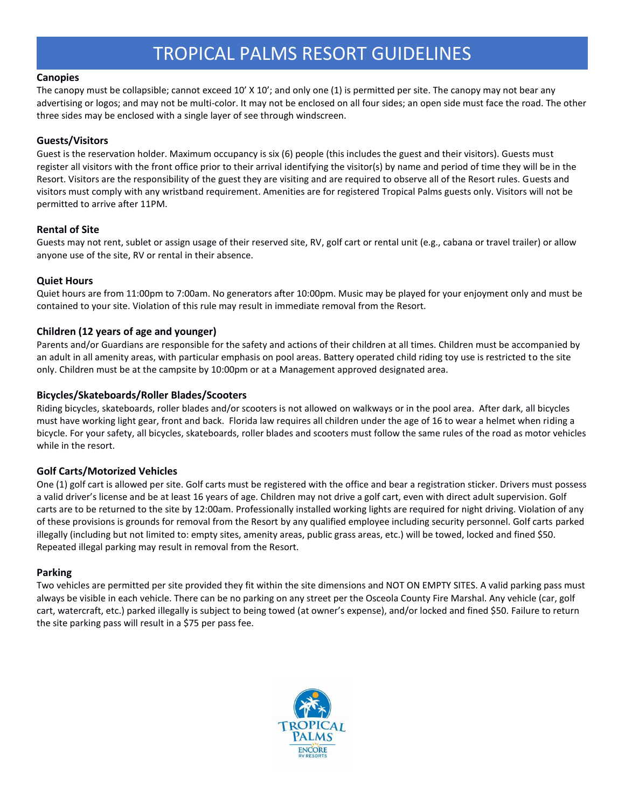#### **Canopies**

The canopy must be collapsible; cannot exceed 10' X 10'; and only one (1) is permitted per site. The canopy may not bear any advertising or logos; and may not be multi-color. It may not be enclosed on all four sides; an open side must face the road. The other three sides may be enclosed with a single layer of see through windscreen.

## **Guests/Visitors**

Guest is the reservation holder. Maximum occupancy is six (6) people (this includes the guest and their visitors). Guests must register all visitors with the front office prior to their arrival identifying the visitor(s) by name and period of time they will be in the Resort. Visitors are the responsibility of the guest they are visiting and are required to observe all of the Resort rules. Guests and visitors must comply with any wristband requirement. Amenities are for registered Tropical Palms guests only. Visitors will not be permitted to arrive after 11PM.

## **Rental of Site**

Guests may not rent, sublet or assign usage of their reserved site, RV, golf cart or rental unit (e.g., cabana or travel trailer) or allow anyone use of the site, RV or rental in their absence.

## **Quiet Hours**

Quiet hours are from 11:00pm to 7:00am. No generators after 10:00pm. Music may be played for your enjoyment only and must be contained to your site. Violation of this rule may result in immediate removal from the Resort.

## **Children (12 years of age and younger)**

Parents and/or Guardians are responsible for the safety and actions of their children at all times. Children must be accompanied by an adult in all amenity areas, with particular emphasis on pool areas. Battery operated child riding toy use is restricted to the site only. Children must be at the campsite by 10:00pm or at a Management approved designated area.

## **Bicycles/Skateboards/Roller Blades/Scooters**

Riding bicycles, skateboards, roller blades and/or scooters is not allowed on walkways or in the pool area. After dark, all bicycles must have working light gear, front and back. Florida law requires all children under the age of 16 to wear a helmet when riding a bicycle. For your safety, all bicycles, skateboards, roller blades and scooters must follow the same rules of the road as motor vehicles while in the resort.

#### **Golf Carts/Motorized Vehicles**

One (1) golf cart is allowed per site. Golf carts must be registered with the office and bear a registration sticker. Drivers must possess a valid driver's license and be at least 16 years of age. Children may not drive a golf cart, even with direct adult supervision. Golf carts are to be returned to the site by 12:00am. Professionally installed working lights are required for night driving. Violation of any of these provisions is grounds for removal from the Resort by any qualified employee including security personnel. Golf carts parked illegally (including but not limited to: empty sites, amenity areas, public grass areas, etc.) will be towed, locked and fined \$50. Repeated illegal parking may result in removal from the Resort.

#### **Parking**

Two vehicles are permitted per site provided they fit within the site dimensions and NOT ON EMPTY SITES. A valid parking pass must always be visible in each vehicle. There can be no parking on any street per the Osceola County Fire Marshal. Any vehicle (car, golf cart, watercraft, etc.) parked illegally is subject to being towed (at owner's expense), and/or locked and fined \$50. Failure to return the site parking pass will result in a \$75 per pass fee.

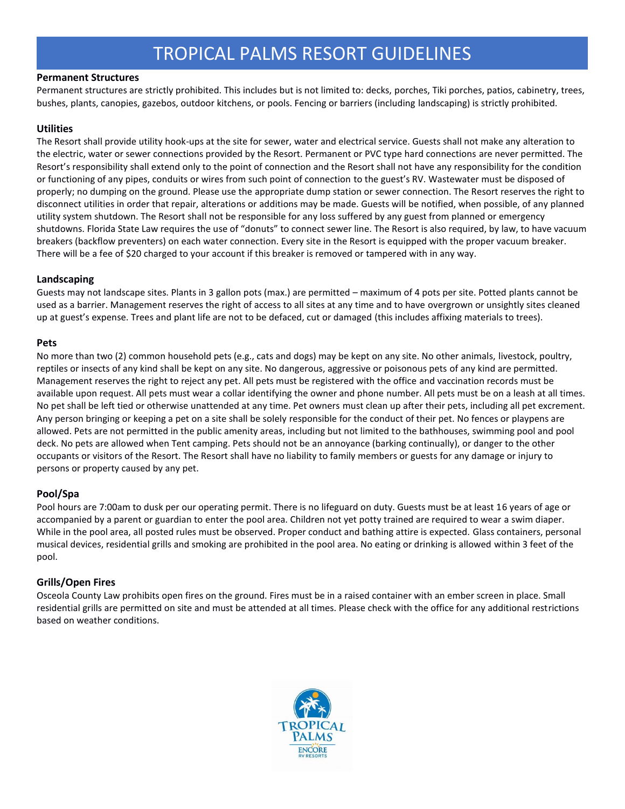## **Permanent Structures**

Permanent structures are strictly prohibited. This includes but is not limited to: decks, porches, Tiki porches, patios, cabinetry, trees, bushes, plants, canopies, gazebos, outdoor kitchens, or pools. Fencing or barriers (including landscaping) is strictly prohibited.

# **Utilities**

The Resort shall provide utility hook-ups at the site for sewer, water and electrical service. Guests shall not make any alteration to the electric, water or sewer connections provided by the Resort. Permanent or PVC type hard connections are never permitted. The Resort's responsibility shall extend only to the point of connection and the Resort shall not have any responsibility for the condition or functioning of any pipes, conduits or wires from such point of connection to the guest's RV. Wastewater must be disposed of properly; no dumping on the ground. Please use the appropriate dump station or sewer connection. The Resort reserves the right to disconnect utilities in order that repair, alterations or additions may be made. Guests will be notified, when possible, of any planned utility system shutdown. The Resort shall not be responsible for any loss suffered by any guest from planned or emergency shutdowns. Florida State Law requires the use of "donuts" to connect sewer line. The Resort is also required, by law, to have vacuum breakers (backflow preventers) on each water connection. Every site in the Resort is equipped with the proper vacuum breaker. There will be a fee of \$20 charged to your account if this breaker is removed or tampered with in any way.

## **Landscaping**

Guests may not landscape sites. Plants in 3 gallon pots (max.) are permitted – maximum of 4 pots per site. Potted plants cannot be used as a barrier. Management reserves the right of access to all sites at any time and to have overgrown or unsightly sites cleaned up at guest's expense. Trees and plant life are not to be defaced, cut or damaged (this includes affixing materials to trees).

## **Pets**

No more than two (2) common household pets (e.g., cats and dogs) may be kept on any site. No other animals, livestock, poultry, reptiles or insects of any kind shall be kept on any site. No dangerous, aggressive or poisonous pets of any kind are permitted. Management reserves the right to reject any pet. All pets must be registered with the office and vaccination records must be available upon request. All pets must wear a collar identifying the owner and phone number. All pets must be on a leash at all times. No pet shall be left tied or otherwise unattended at any time. Pet owners must clean up after their pets, including all pet excrement. Any person bringing or keeping a pet on a site shall be solely responsible for the conduct of their pet. No fences or playpens are allowed. Pets are not permitted in the public amenity areas, including but not limited to the bathhouses, swimming pool and pool deck. No pets are allowed when Tent camping. Pets should not be an annoyance (barking continually), or danger to the other occupants or visitors of the Resort. The Resort shall have no liability to family members or guests for any damage or injury to persons or property caused by any pet.

# **Pool/Spa**

Pool hours are 7:00am to dusk per our operating permit. There is no lifeguard on duty. Guests must be at least 16 years of age or accompanied by a parent or guardian to enter the pool area. Children not yet potty trained are required to wear a swim diaper. While in the pool area, all posted rules must be observed. Proper conduct and bathing attire is expected. Glass containers, personal musical devices, residential grills and smoking are prohibited in the pool area. No eating or drinking is allowed within 3 feet of the pool.

# **Grills/Open Fires**

Osceola County Law prohibits open fires on the ground. Fires must be in a raised container with an ember screen in place. Small residential grills are permitted on site and must be attended at all times. Please check with the office for any additional restrictions based on weather conditions.

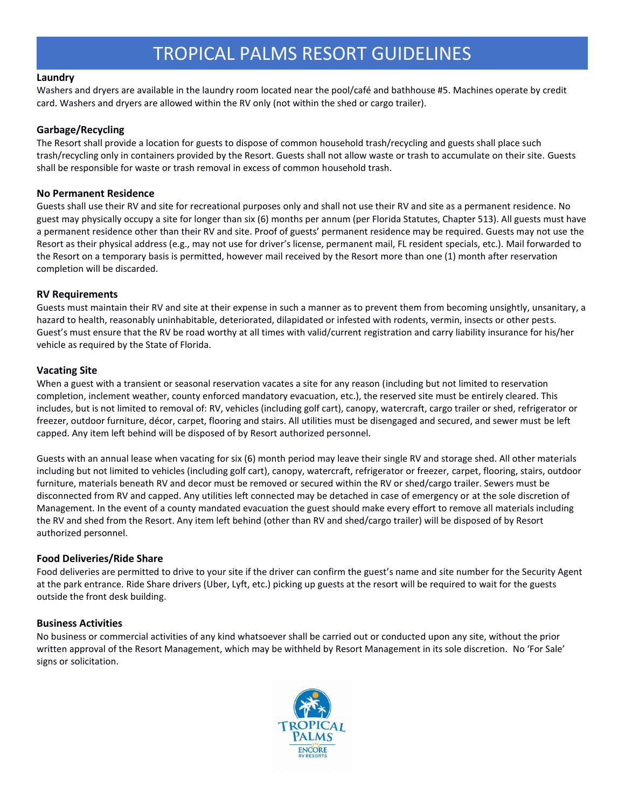#### **Laundry**

Washers and dryers are available in the laundry room located near the pool/café and bathhouse #5. Machines operate by credit card. Washers and dryers are allowed within the RV only (not within the shed or cargo trailer).

#### **Garbage/Recycling**

The Resort shall provide a location for guests to dispose of common household trash/recycling and guests shall place such trash/recycling only in containers provided by the Resort. Guests shall not allow waste or trash to accumulate on their site. Guests shall be responsible for waste or trash removal in excess of common household trash.

#### **No Permanent Residence**

Guests shall use their RV and site for recreational purposes only and shall not use their RV and site as a permanent residence. No guest may physically occupy a site for longer than six (6) months per annum (per Florida Statutes, Chapter 513). All guests must have a permanent residence other than their RV and site. Proof of guests' permanent residence may be required. Guests may not use the Resort as their physical address (e.g., may not use for driver's license, permanent mail, FL resident specials, etc.). Mail forwarded to the Resort on a temporary basis is permitted, however mail received by the Resort more than one (1) month after reservation completion will be discarded.

#### **RV Requirements**

Guests must maintain their RV and site at their expense in such a manner as to prevent them from becoming unsightly, unsanitary, a hazard to health, reasonably uninhabitable, deteriorated, dilapidated or infested with rodents, vermin, insects or other pests. Guest's must ensure that the RV be road worthy at all times with valid/current registration and carry liability insurance for his/her vehicle as required by the State of Florida.

#### **Vacating Site**

When a guest with a transient or seasonal reservation vacates a site for any reason (including but not limited to reservation completion, inclement weather, county enforced mandatory evacuation, etc.), the reserved site must be entirely cleared. This includes, but is not limited to removal of: RV, vehicles (including golf cart), canopy, watercraft, cargo trailer or shed, refrigerator or freezer, outdoor furniture, décor, carpet, flooring and stairs. All utilities must be disengaged and secured, and sewer must be left capped. Any item left behind will be disposed of by Resort authorized personnel.

Guests with an annual lease when vacating for six (6) month period may leave their single RV and storage shed. All other materials including but not limited to vehicles (including golf cart), canopy, watercraft, refrigerator or freezer, carpet, flooring, stairs, outdoor furniture, materials beneath RV and decor must be removed or secured within the RV or shed/cargo trailer. Sewers must be disconnected from RV and capped. Any utilities left connected may be detached in case of emergency or at the sole discretion of Management. In the event of a county mandated evacuation the guest should make every effort to remove all materials including the RV and shed from the Resort. Any item left behind (other than RV and shed/cargo trailer) will be disposed of by Resort authorized personnel.

#### **Food Deliveries/Ride Share**

Food deliveries are permitted to drive to your site if the driver can confirm the guest's name and site number for the Security Agent at the park entrance. Ride Share drivers (Uber, Lyft, etc.) picking up guests at the resort will be required to wait for the guests outside the front desk building.

#### **Business Activities**

No business or commercial activities of any kind whatsoever shall be carried out or conducted upon any site, without the prior written approval of the Resort Management, which may be withheld by Resort Management in its sole discretion. No 'For Sale' signs or solicitation.